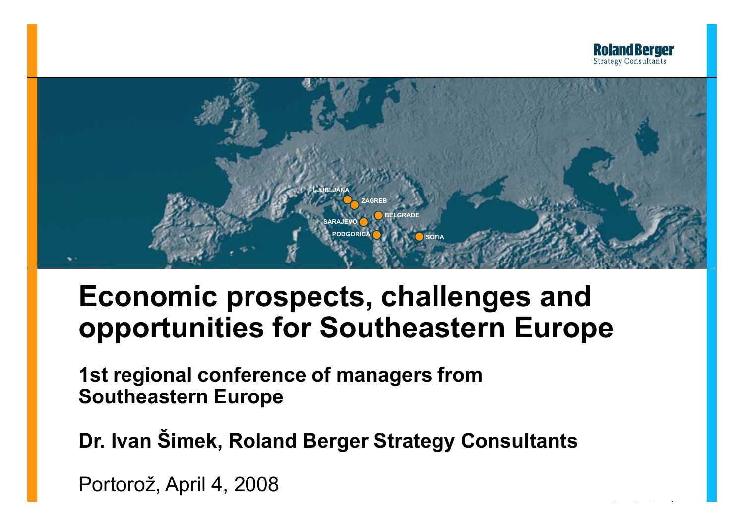

en.pptx 1



# **Economic prospects, challenges and opportunities for Southeastern Europe**

**1st regional conference of managers from Southeastern Europe**

**Dr. Ivan Šimek, Roland Berger Strategy Consultants**

Portorož, April 4, 2008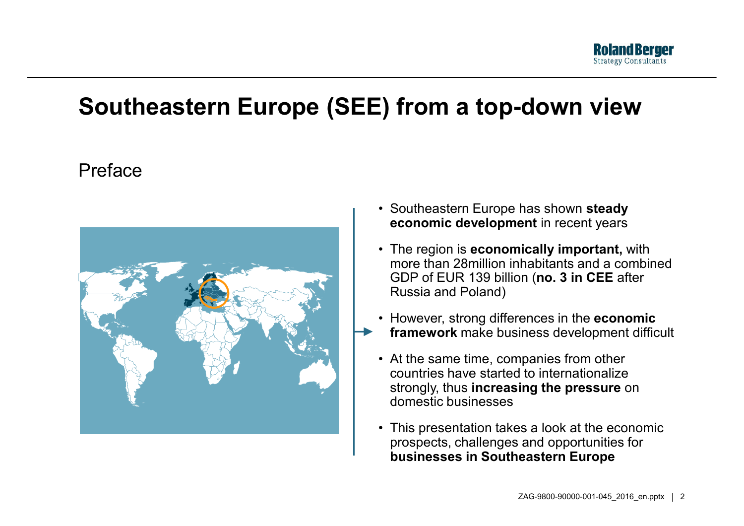

#### **Southeastern Europe (SEE) from <sup>a</sup> top-down view**

#### Preface



- Southeastern Europe has shown **steady economic development** in recent years
- The region is **economically important,** with more than 28million inhabitants and a combined GDP of EUR 139 billion (**no. 3 in CEE** after Russia and Poland)
- However, strong differences in the **economic framework** make business development difficult
- At the same time, companies from other countries have started to internationalize strongly, thus **increasing the pressure** on domestic businesses
- This presentation takes <sup>a</sup> look at the economic prospects, challenges and opportunities for **businesses in Southeastern Europe**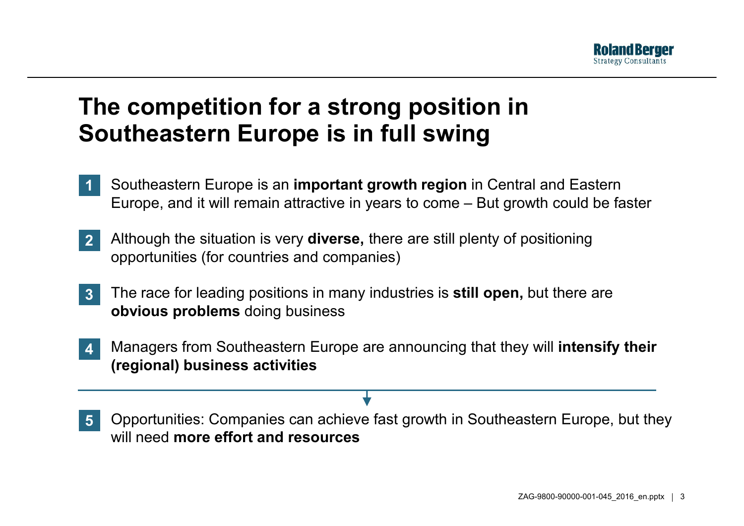

#### **The competition for <sup>a</sup> strong position in Southeastern Europe is in full swing**

- Southeastern Europe is an **important growth region** in Central and Eastern Europe, and it will remain attractive in years to come – But growth could be faster **1**
- Although the situation is very **diverse,** there are still plenty of positioning opportunities (for countries and companies)<br>The race for leading positions in manv indu **2**
- The race for leading positions in many industries is **still open**, but there are **obvious problems** doing business **3**
- Managers from Southeastern Europe are announcing that they will **intensify their (regional) business activities 4**
- Opportunities: Companies can achieve fast growth in Southeastern Europe, but they will need **more effort and resources 5**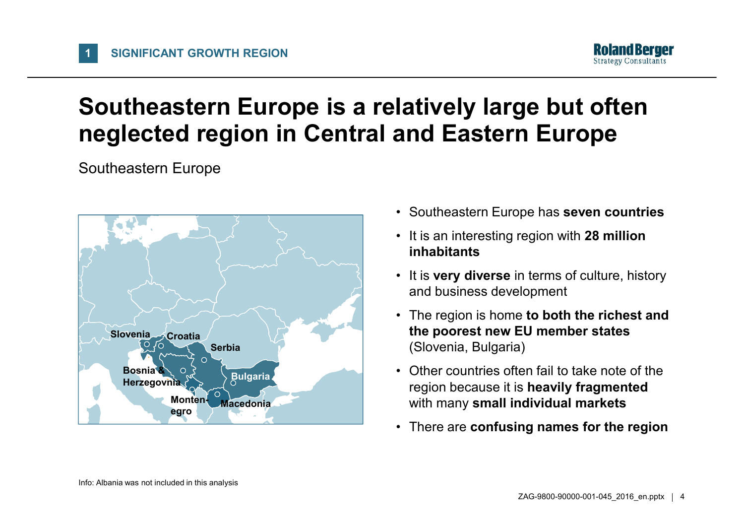

### **Southeastern Europe is <sup>a</sup> relatively large but often neglected region in Central and Eastern Europe**

Southeastern Europe

**1**



- Southeastern Europe has **seven countries**
- It is an interesting region with **28 million inhabitants**
- • It is **very diverse** in terms of culture, history and business development
- The region is home **to both the richest and the poorest new EU member states** (Slovenia, Bulgaria)
- • Other countries often fail to take note of the region because it is **heavily fragmented** with many **small individual markets**
- There are **confusing names for the region**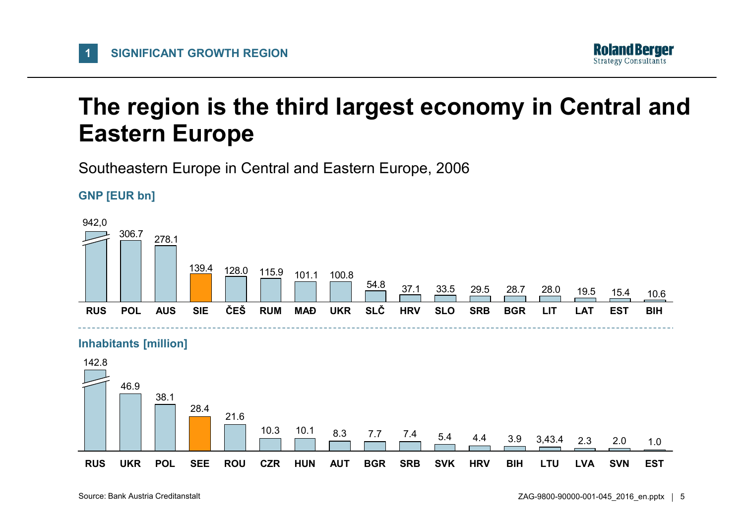

### **The region is the third largest economy in Central and Eastern Europe**

Southeastern Europe in Central and Eastern Europe, 2006



**1**





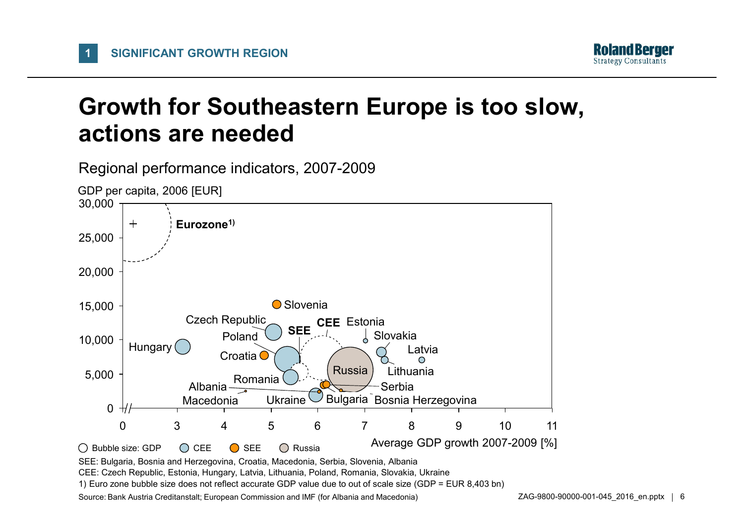**1**



#### **Growth for Southeastern Europe is too slow, actions are needed**

Regional performance indicators, 2007-2009



CEE: Czech Republic, Estonia, Hungary, Latvia, Lithuania, Poland, Romania, Slovakia, Ukraine

1) Euro zone bubble size does not reflect accurate GDP value due to out of scale size (GDP <sup>=</sup> EUR 8,403 bn)

Source: Bank Austria Creditanstalt; European Commission and IMF (for Albania and Macedonia)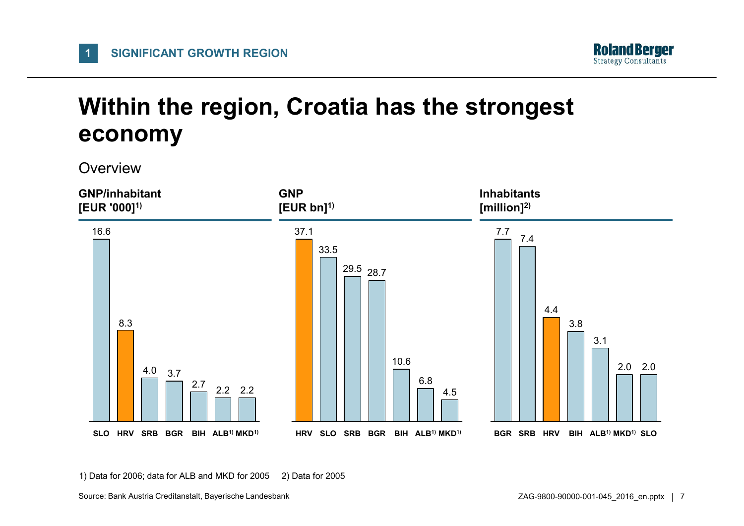

## **Within the region, Croatia has the strongest economy**

**Overview** 

**1**



1) Data for 2006; data for ALB and MKD for 2005 2) Data for 2005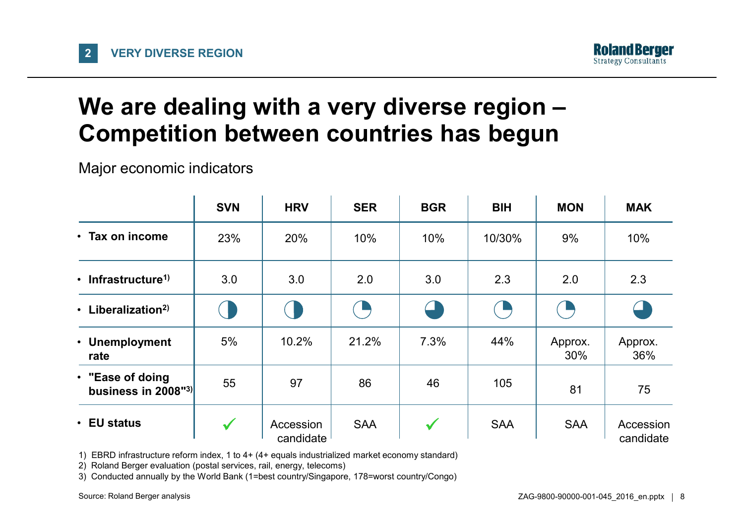

## **We are dealing with <sup>a</sup> very diverse region – Competition between countries has begun**

Major economic indicators

|                                         | <b>SVN</b>   | <b>HRV</b>             | <b>SER</b> | <b>BGR</b>   | <b>BIH</b> | <b>MON</b>     | <b>MAK</b>             |
|-----------------------------------------|--------------|------------------------|------------|--------------|------------|----------------|------------------------|
| • Tax on income                         | 23%          | 20%                    | 10%        | 10%          | 10/30%     | 9%             | 10%                    |
| • Infrastructure <sup>1)</sup>          | 3.0          | 3.0                    | 2.0        | 3.0          | 2.3        | 2.0            | 2.3                    |
| • Liberalization <sup>2)</sup>          |              |                        |            |              |            |                |                        |
| • Unemployment<br>rate                  | 5%           | 10.2%                  | 21.2%      | 7.3%         | 44%        | Approx.<br>30% | Approx.<br>36%         |
| • "Ease of doing<br>business in 2008"3) | 55           | 97                     | 86         | 46           | 105        | 81             | 75                     |
| • EU status                             | $\checkmark$ | Accession<br>candidate | <b>SAA</b> | $\checkmark$ | <b>SAA</b> | <b>SAA</b>     | Accession<br>candidate |

1) EBRD infrastructure reform index, 1 to 4+ (4+ equals industrialized market economy standard)

2) Roland Berger evaluation (postal services, rail, energy, telecoms)

3) Conducted annually by the World Bank (1=best country/Singapore, 178=worst country/Congo)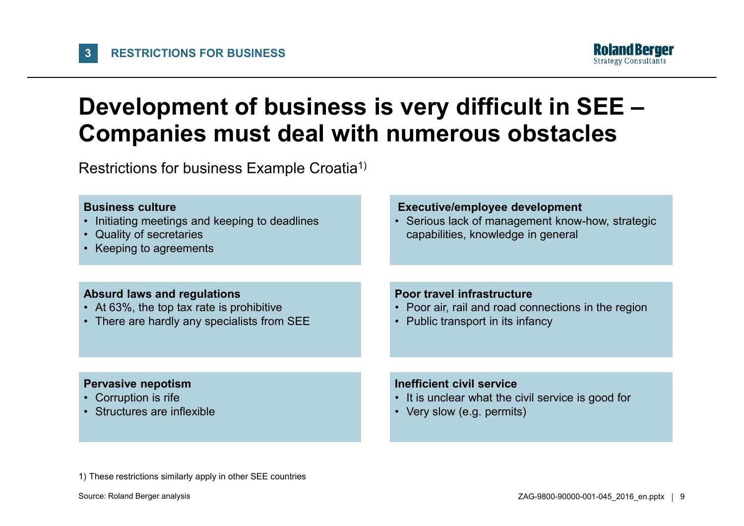

#### **Development of business is very difficult in SEE – Companies must deal with numerous obstacles**

Restrictions for business Example Croatia<sup>1)</sup>

#### **Business culture** • Initiating meetings and keeping to deadlines • Quality of secretaries • Keeping to agreements **Executive/employee development** • Serious lack of management know-how, strategic capabilities, knowledge in general **Absurd laws and regulations** • At 63%, the top tax rate is prohibitive • There are hardly any specialists from SEE **Poor travel infrastructure**• Poor air, rail and road connections in the region • Public transport in its infancy

#### **Pervasive nepotism**

- Corruption is rife
- Structures are inflexible

#### **Inefficient civil service**

- It is unclear what the civil service is good for
- Very slow (e.g. permits)

1) These restrictions similarly apply in other SEE countries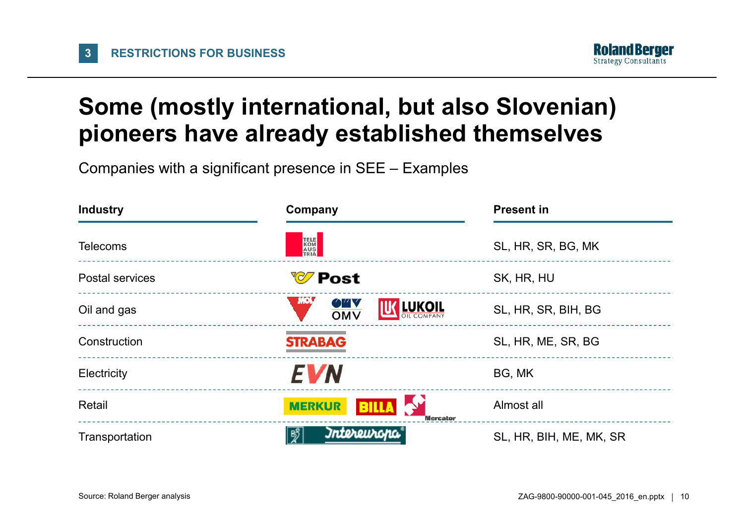

## **Some (mostly international, but also Slovenian) pioneers have already established themselves**

Companies with <sup>a</sup> significant presence in SEE – Examples

| <b>Industry</b>        | Company                                          | <b>Present in</b><br>SL, HR, SR, BG, MK |  |  |
|------------------------|--------------------------------------------------|-----------------------------------------|--|--|
| <b>Telecoms</b>        | TELE<br>KOM<br>AUS<br>TRIA                       |                                         |  |  |
| <b>Postal services</b> | <b><i>V</i></b> Post                             | SK, HR, HU                              |  |  |
| Oil and gas            | MOL.<br>07 V<br>LUKOIL<br>OMV                    | SL, HR, SR, BIH, BG                     |  |  |
| Construction           | <b>STRABAG</b>                                   | SL, HR, ME, SR, BG                      |  |  |
| Electricity            | <b>EVN</b>                                       | BG, MK                                  |  |  |
| Retail                 | <b>MERKUR</b><br><b>BILLA</b><br><b>Mercator</b> | Almost all                              |  |  |
| Transportation         | Intereuropa<br> ∛්                               | SL, HR, BIH, ME, MK, SR                 |  |  |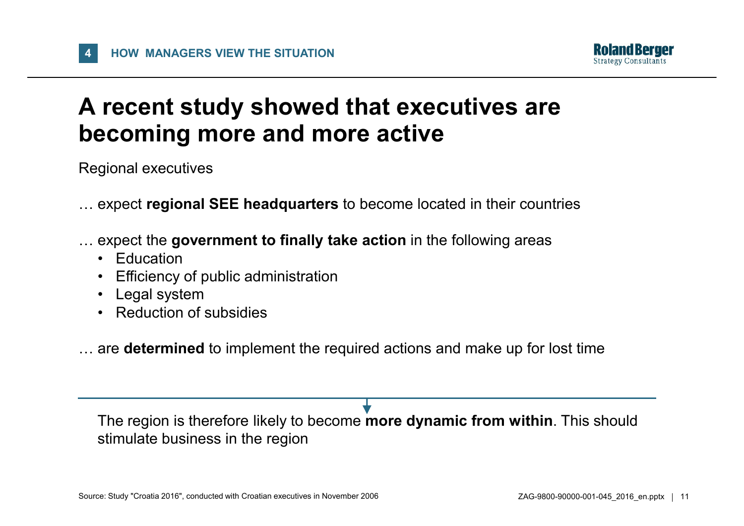

#### **A recent study showed that executives are becoming more and more active**

Regional executives

- … expect **regional SEE headquarters** to become located in their countries
- … expect the **government to finally take action** in the following areas
	- Education
	- •Efficiency of public administration
	- Legal system
	- Reduction of subsidies

… are **determined** to implement the required actions and make up for lost time

The region is therefore likely to become **more dynamic from within**. This should stimulate business in the region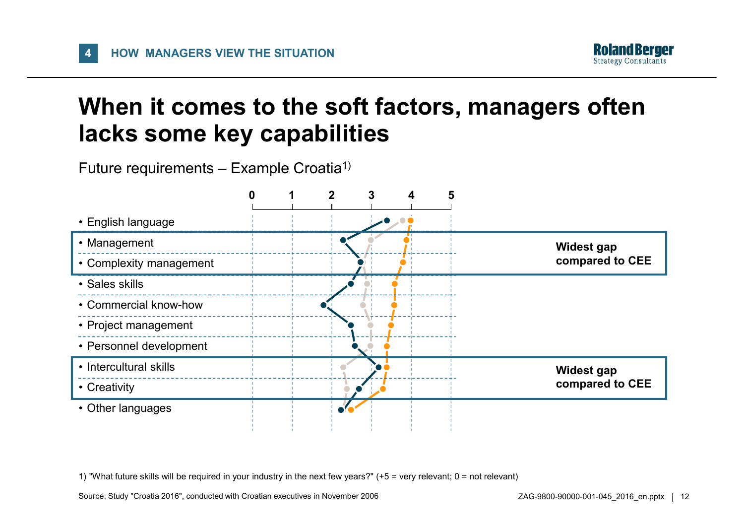**4**



#### **When it comes to the soft factors, managers often lacks some key capabilities**

Future requirements – Example Croatia $^{\text{\tiny{\textup{1}}}}$ 



1) "What future skills will be required in your industry in the next few years?" (+5 <sup>=</sup> very relevant; 0 <sup>=</sup> not relevant)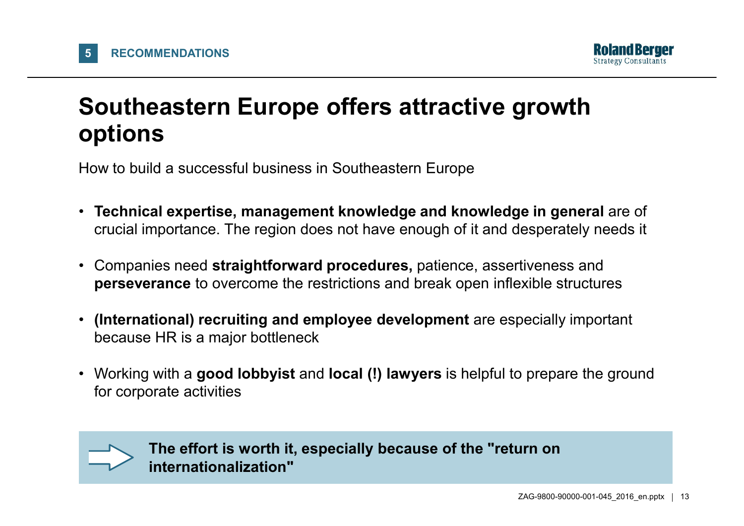

## **Southeastern Europe offers attractive growth options**

How to build <sup>a</sup> successful business in Southeastern Europe

- **Technical expertise, management knowledge and knowledge in general** are of crucial importance. The region does not have enough of it and desperately needs it
- Companies need straightforward procedures, patience, assertiveness and **perseverance** to overcome the restrictions and break open inflexible structures
- **(International) recruiting and employee development** are especially important because HR is <sup>a</sup> major bottleneck
- • Working with <sup>a</sup> **good lobbyist** and **local (!) lawyers** is helpful to prepare the ground for corporate activities



**The effort is worth it, especially because of the "return on internationalization"**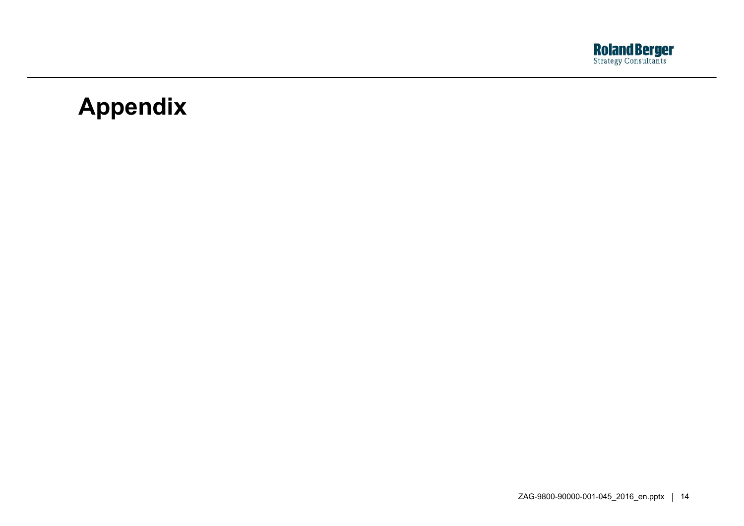

### **Appendix**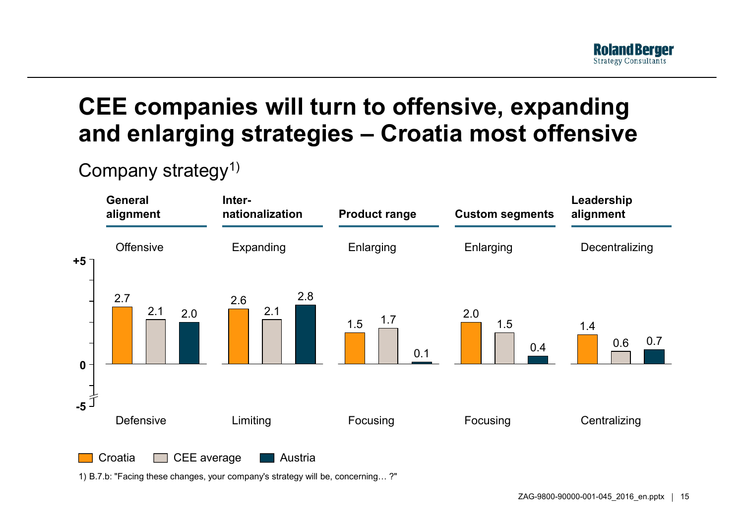## **CEE companies will turn to offensive, expanding and enlarging strategies – Croatia most offensive**

#### Company strategy<sup>1)</sup>



1) B.7.b: "Facing these changes, your company's strategy will be, concerning… ?"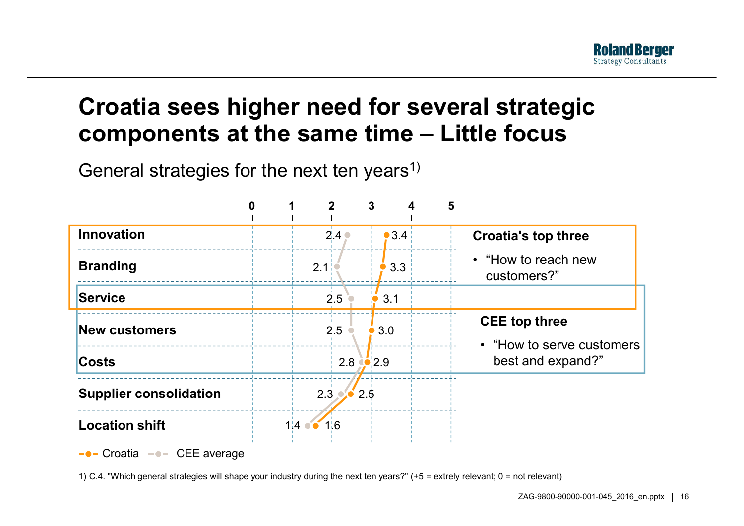## **Croatia sees higher need for several strategic components at the same time – Little focus**

General strategies for the next ten years<sup>1)</sup>

| <b>Innovation</b>                           | 2.4 <sub>°</sub>    | •3.4 | <b>Croatia's top three</b>                                              |  |
|---------------------------------------------|---------------------|------|-------------------------------------------------------------------------|--|
| <b>Branding</b>                             | 2.1                 | 3.3  | • "How to reach new<br>customers?"                                      |  |
| <b>Service</b>                              | 2.5                 | 3.1  |                                                                         |  |
| <b>New customers</b>                        | 2.5                 | 3.0  | <b>CEE</b> top three<br>• "How to serve customers"<br>best and expand?" |  |
| <b>Costs</b>                                | $2.8$ $\bullet$ 2.9 |      |                                                                         |  |
| <b>Supplier consolidation</b>               | $2.3 \cdot 2.5$     |      |                                                                         |  |
| <b>Location shift</b>                       | 1:6<br>$1:4$ or     |      |                                                                         |  |
| $\bullet$ - Croatia $\bullet$ - CEE average |                     |      |                                                                         |  |

1) C.4. "Which general strategies will shape your industry during the next ten years?" (+5 <sup>=</sup> extrely relevant; 0 <sup>=</sup> not relevant)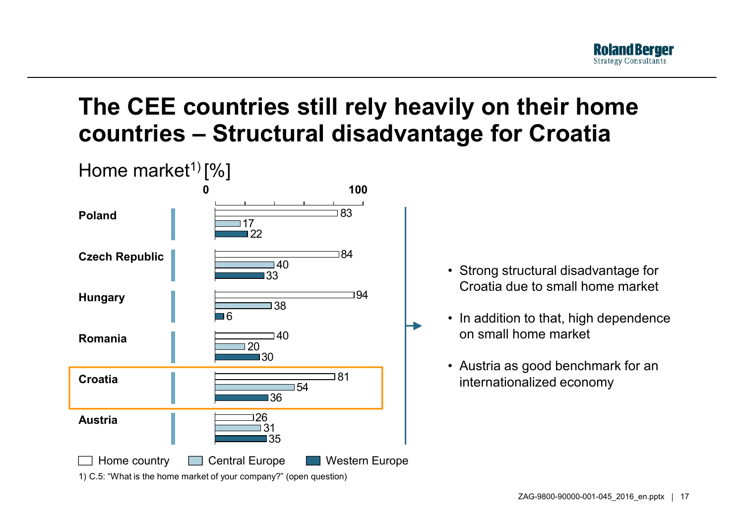

### **The CEE countries still rely heavily on their home countries – Structural disadvantage for Croatia**



- Strong structural disadvantage for Croatia due to small home market
- In addition to that, high dependence on small home market
- Austria as good benchmark for an internationalized economy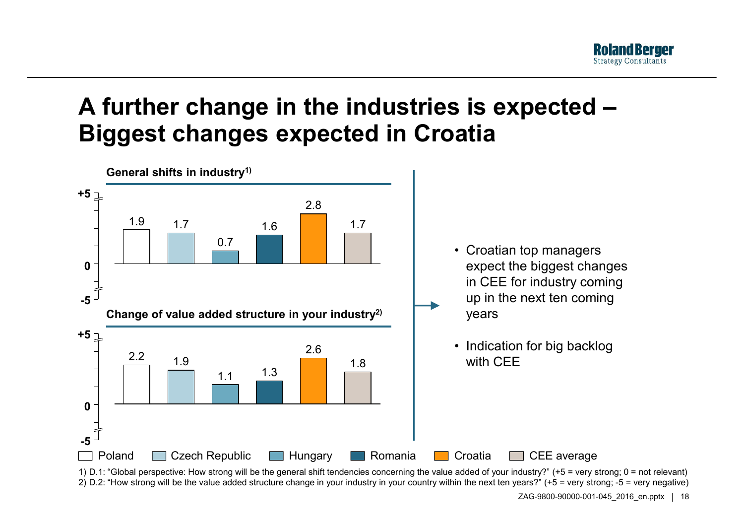## **A further change in the industries is expected – Biggest changes expected in Croatia**



1) D.1: "Global perspective: How strong will be the general shift tendencies concerning the value added of your industry?" (+5 <sup>=</sup> very strong; 0 <sup>=</sup> not relevant) 2) D.2: "How strong will be the value added structure change in your industry in your country within the next ten years?" (+5 <sup>=</sup> very strong; -5 <sup>=</sup> very negative)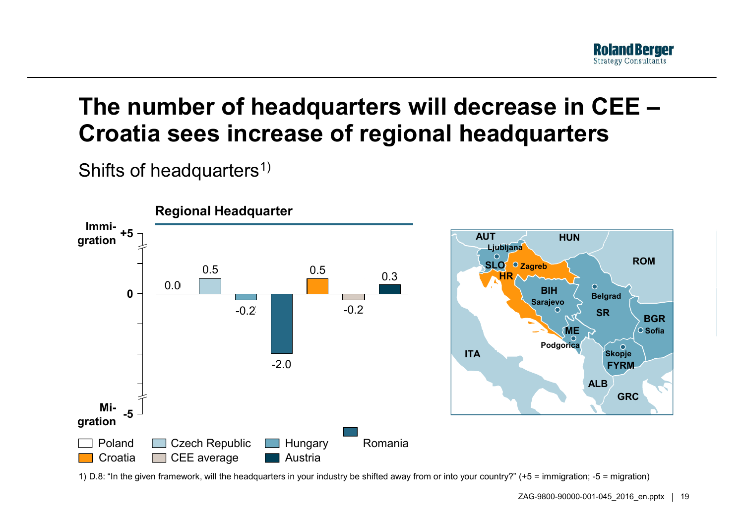

#### **The number of headquarters will decrease in CEE – Croatia sees increase of regional headquarters**

Shifts of headquarters $^{\rm 1)}$ 



1) D.8: "In the given framework, will the headquarters in your industry be shifted away from or into your country?" (+5 <sup>=</sup> immigration; -5 <sup>=</sup> migration)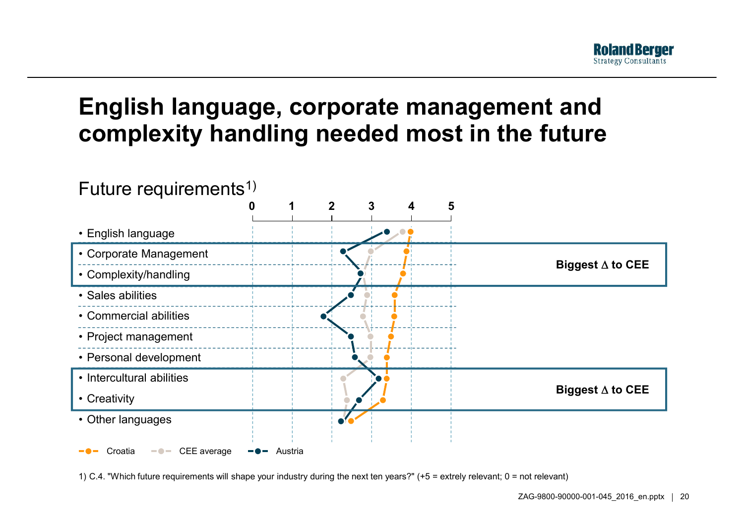

#### **English language, corporate management and complexity handling needed most in the future**



1) C.4. "Which future requirements will shape your industry during the next ten years?" (+5 <sup>=</sup> extrely relevant; 0 <sup>=</sup> not relevant)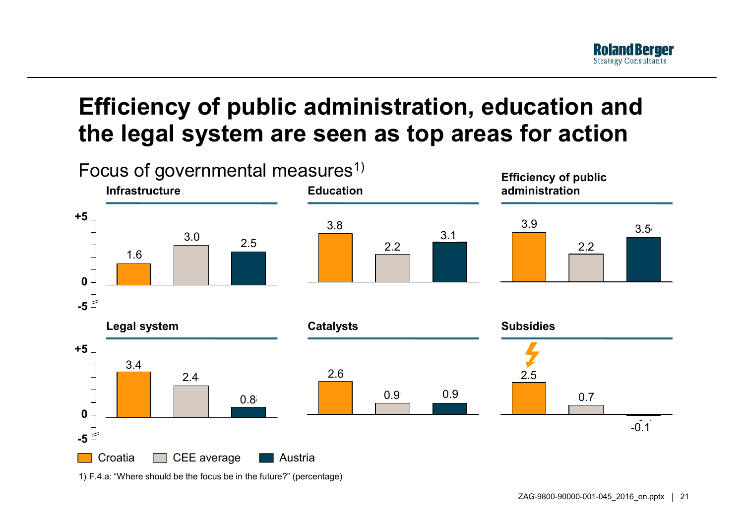## **Efficiency of public administration, education and the legal system are seen as top areas for action**



1) F.4.a: "Where should be the focus be in the future?" (percentage)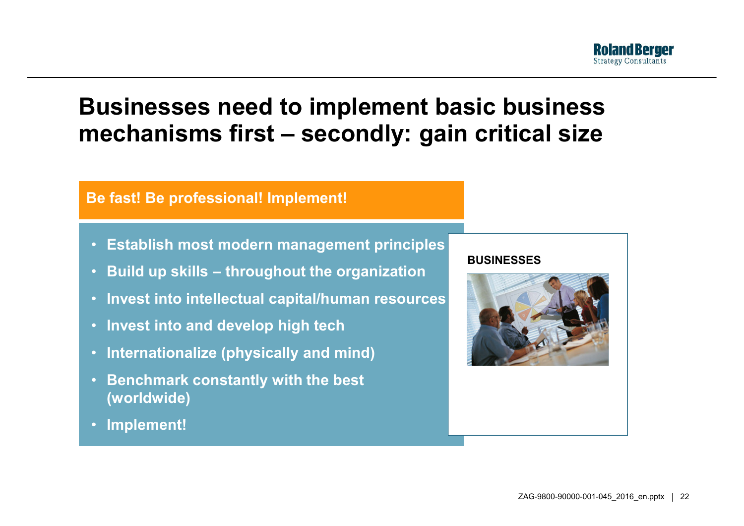

#### **Businesses need to implement basic business mechanisms first – secondly: gain critical size**

#### **Be fast! Be professional! Implement!**

- **Establish most modern management principles**
- **Build up skills – throughout the organization**
- **Invest into intellectual capital/human resources**
- **Invest into and develop high tech**
- **Internationalize (physically and mind)**
- **Benchmark constantly with the best (worldwide)**
- **Implement!**

#### **BUSINESSES**

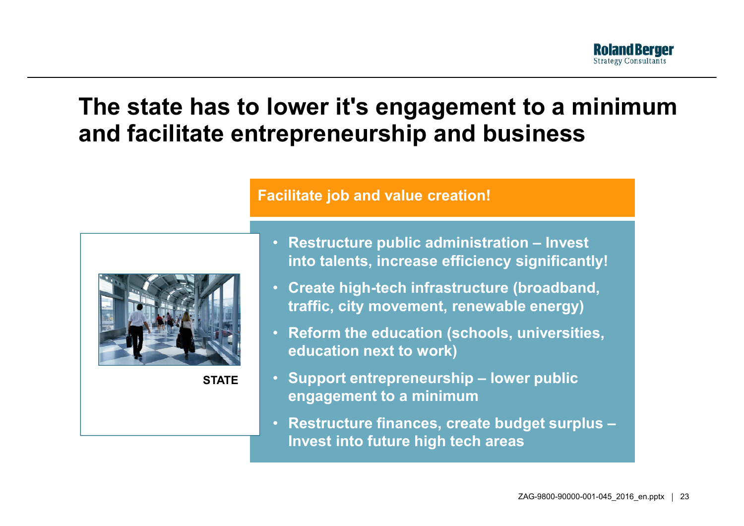#### **The state has to lower it's engagement to <sup>a</sup> minimum and facilitate entrepreneurship and business**



**STATE**

#### **Facilitate job and value creation!**

- **Restructure public administration – Invest into talents increase efficiency significantly! talents,**
- **Create high-tech infrastructure (broadband, traffic, city movement, renewable energy)**
- **Reform the education (schools, universities, education next to work)**
- **Support entrepreneurship – lower public engagement to <sup>a</sup> minimum**
- **Restructure finances, create budget surplus – Invest into future high tech areas**